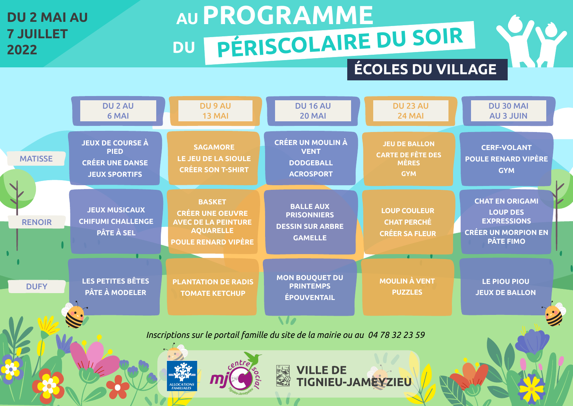# **AU PROGRAMME**

## **7 JUILLET**